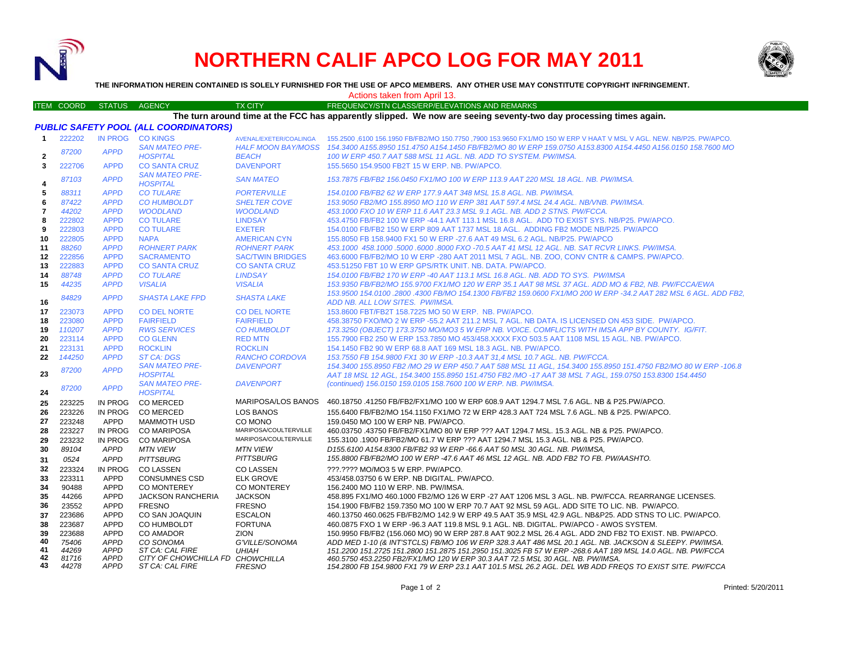

**43**

*44278*

*APPD ST CA: CAL FIRE*

# **NORTHERN CALIF APCO LOG FOR MAY 2011**



**THE INFORMATION HEREIN CONTAINED IS SOLELY FURNISHED FOR THE USE OF APCO MEMBERS. ANY OTHER USE MAY CONSTITUTE COPYRIGHT INFRINGEMENT.**

Actions taken from April 13.

|                                                                                                                   | <b>ITEM COORD</b> | <b>STATUS</b> | <b>AGENCY</b>                                | <b>TX CITY</b>            | FREQUENCY/STN CLASS/ERP/ELEVATIONS AND REMARKS                                                                                                                           |  |
|-------------------------------------------------------------------------------------------------------------------|-------------------|---------------|----------------------------------------------|---------------------------|--------------------------------------------------------------------------------------------------------------------------------------------------------------------------|--|
| The turn around time at the FCC has apparently slipped. We now are seeing seventy-two day processing times again. |                   |               |                                              |                           |                                                                                                                                                                          |  |
|                                                                                                                   |                   |               | <b>PUBLIC SAFETY POOL (ALL COORDINATORS)</b> |                           |                                                                                                                                                                          |  |
| $\mathbf{1}$                                                                                                      | 222202            |               | IN PROG CO KINGS                             | AVENAL/EXETER/COALINGA    | 155.2500 ,6100 156.1950 FB/FB2/MO 150.7750 ,7900 153.9650 FX1/MO 150 W ERP V HAAT V MSL V AGL. NEW. NB/P25. PW/APCO.                                                     |  |
|                                                                                                                   |                   |               | <b>SAN MATEO PRE-</b>                        | <b>HALF MOON BAY/MOSS</b> | 154,3400 A155,8950 151,4750 A154,1450 FB/FB2/MO 80 W ERP 159,0750 A153,8300 A154,4450 A156,0150 158,7600 MO                                                              |  |
| $\overline{2}$                                                                                                    | 87200             | <b>APPD</b>   | <b>HOSPITAL</b>                              | <b>BEACH</b>              | 100 W ERP 450.7 AAT 588 MSL 11 AGL. NB. ADD TO SYSTEM. PW/IMSA.                                                                                                          |  |
| 3                                                                                                                 | 222706            | <b>APPD</b>   | <b>CO SANTA CRUZ</b>                         | <b>DAVENPORT</b>          | 155.5650 154.9500 FB2T 15 W ERP. NB. PW/APCO.                                                                                                                            |  |
|                                                                                                                   |                   |               | <b>SAN MATEO PRE-</b>                        |                           |                                                                                                                                                                          |  |
| 4                                                                                                                 | 87103             | <b>APPD</b>   | <b>HOSPITAL</b>                              | <b>SAN MATEO</b>          | 153.7875 FB/FB2 156.0450 FX1/MO 100 W ERP 113.9 AAT 220 MSL 18 AGL. NB. PW/IMSA.                                                                                         |  |
| 5                                                                                                                 | 88311             | <b>APPD</b>   | <b>CO TULARE</b>                             | <b>PORTERVILLE</b>        | 154.0100 FB/FB2 62 W ERP 177.9 AAT 348 MSL 15.8 AGL. NB. PW/IMSA.                                                                                                        |  |
| 6                                                                                                                 | 87422             | <b>APPD</b>   | <b>CO HUMBOLDT</b>                           | <b>SHELTER COVE</b>       | 153.9050 FB2/MO 155.8950 MO 110 W ERP 381 AAT 597.4 MSL 24.4 AGL. NB/VNB. PW/IMSA.                                                                                       |  |
| $\overline{7}$                                                                                                    | 44202             | <b>APPD</b>   | <b>WOODLAND</b>                              | <b>WOODLAND</b>           | 453.1000 FXO 10 W ERP 11.6 AAT 23.3 MSL 9.1 AGL. NB. ADD 2 STNS. PW/FCCA.                                                                                                |  |
| 8                                                                                                                 | 222802            | <b>APPD</b>   | <b>CO TULARE</b>                             | <b>LINDSAY</b>            | 453.4750 FB/FB2 100 W ERP -44.1 AAT 113.1 MSL 16.8 AGL. ADD TO EXIST SYS. NB/P25. PW/APCO.                                                                               |  |
| 9                                                                                                                 | 222803            | <b>APPD</b>   | <b>CO TULARE</b>                             | <b>EXETER</b>             | 154,0100 FB/FB2 150 W ERP 809 AAT 1737 MSL 18 AGL. ADDING FB2 MODE NB/P25, PW/APCO                                                                                       |  |
| 10                                                                                                                | 222805            | <b>APPD</b>   | <b>NAPA</b>                                  | <b>AMERICAN CYN</b>       | 155,8050 FB 158,9400 FX1 50 W ERP -27.6 AAT 49 MSL 6.2 AGL, NB/P25, PW/APCO                                                                                              |  |
| 11                                                                                                                | 88260             | <b>APPD</b>   | <b>ROHNERT PARK</b>                          | <b>ROHNERT PARK</b>       | 453,1000 458,1000 5000 6000 8000 FXO -70.5 AAT 41 MSL 12 AGL, NB, SAT RCVR LINKS, PW/IMSA,                                                                               |  |
| 12                                                                                                                | 222856            | <b>APPD</b>   | <b>SACRAMENTO</b>                            | <b>SAC/TWIN BRIDGES</b>   | 463,6000 FB/FB2/MO 10 W ERP -280 AAT 2011 MSL 7 AGL, NB, ZOO, CONV CNTR & CAMPS, PW/APCO,                                                                                |  |
| 13                                                                                                                | 222883            | <b>APPD</b>   | <b>CO SANTA CRUZ</b>                         | <b>CO SANTA CRUZ</b>      | 453.51250 FBT 10 W ERP GPS/RTK UNIT. NB. DATA. PW/APCO.                                                                                                                  |  |
| 14                                                                                                                | 88748             | <b>APPD</b>   | <b>CO TULARE</b>                             | <b>LINDSAY</b>            | 154.0100 FB/FB2 170 W ERP -40 AAT 113.1 MSL 16.8 AGL. NB. ADD TO SYS. PW/IMSA                                                                                            |  |
| 15                                                                                                                | 44235             | <b>APPD</b>   | <b>VISALIA</b>                               | <b>VISALIA</b>            | 153.9350 FB/FB2/MO 155.9700 FX1/MO 120 W ERP 35.1 AAT 98 MSL 37 AGL. ADD MO & FB2. NB. PW/FCCA/EWA                                                                       |  |
|                                                                                                                   | 84829             | <b>APPD</b>   | <b>SHASTA LAKE FPD</b>                       | <b>SHASTA LAKE</b>        | 153.9500 154.0100 .2800 .4300 FB/MO 154.1300 FB/FB2 159.0600 FX1/MO 200 W ERP -34.2 AAT 282 MSL 6 AGL. ADD FB2.                                                          |  |
| 16                                                                                                                |                   |               |                                              |                           | ADD NB. ALL LOW SITES. PW/IMSA.                                                                                                                                          |  |
| 17                                                                                                                | 223073            | <b>APPD</b>   | <b>CO DEL NORTE</b>                          | <b>CO DEL NORTE</b>       | 153.8600 FBT/FB2T 158.7225 MO 50 W ERP. NB. PW/APCO.                                                                                                                     |  |
| 18                                                                                                                | 223080            | <b>APPD</b>   | <b>FAIRFIELD</b>                             | <b>FAIRFIELD</b>          | 458.38750 FXO/MO 2 W ERP -55.2 AAT 211.2 MSL 7 AGL. NB DATA. IS LICENSED ON 453 SIDE. PW/APCO.                                                                           |  |
| 19                                                                                                                | 110207            | <b>APPD</b>   | <b>RWS SERVICES</b>                          | <b>CO HUMBOLDT</b>        | 173.3250 (OBJECT) 173.3750 MO/MO3 5 W ERP NB, VOICE, COMFLICTS WITH IMSA APP BY COUNTY, IG/FIT.                                                                          |  |
| 20                                                                                                                | 223114            | <b>APPD</b>   | <b>CO GLENN</b>                              | <b>RED MTN</b>            | 155.7900 FB2 250 W ERP 153.7850 MO 453/458.XXXX FXO 503.5 AAT 1108 MSL 15 AGL. NB. PW/APCO.                                                                              |  |
| 21                                                                                                                | 223131            | <b>APPD</b>   | <b>ROCKLIN</b>                               | <b>ROCKLIN</b>            | 154.1450 FB2 90 W ERP 68.8 AAT 169 MSL 18.3 AGL. NB. PW/APCO.                                                                                                            |  |
| 22                                                                                                                | 144250            | <b>APPD</b>   | <b>ST CA: DGS</b>                            | <b>RANCHO CORDOVA</b>     | 153.7550 FB 154.9800 FX1 30 W ERP -10.3 AAT 31.4 MSL 10.7 AGL. NB. PW/FCCA.                                                                                              |  |
| 23                                                                                                                | 87200             | <b>APPD</b>   | <b>SAN MATEO PRE-</b><br><b>HOSPITAL</b>     | <b>DAVENPORT</b>          | 154.3400 155.8950 FB2 /MO 29 W ERP 450.7 AAT 588 MSL 11 AGL, 154.3400 155.8950 151.4750 FB2/MO 80 W ERP -106.8                                                           |  |
|                                                                                                                   |                   |               | <b>SAN MATEO PRE-</b>                        | <b>DAVENPORT</b>          | AAT 18 MSL 12 AGL, 154.3400 155.8950 151.4750 FB2 /MO -17 AAT 38 MSL 7 AGL, 159.0750 153.8300 154.4450<br>(continued) 156.0150 159.0105 158.7600 100 W ERP. NB. PW/IMSA. |  |
| 24                                                                                                                | 87200             | <b>APPD</b>   | <b>HOSPITAL</b>                              |                           |                                                                                                                                                                          |  |
| 25                                                                                                                | 223225            | IN PROG       | <b>CO MERCED</b>                             | <b>MARIPOSA/LOS BANOS</b> | 460.18750 .41250 FB/FB2/FX1/MO 100 W ERP 608.9 AAT 1294.7 MSL 7.6 AGL. NB & P25.PW/APCO.                                                                                 |  |
| 26                                                                                                                | 223226            | IN PROG       | <b>CO MERCED</b>                             | <b>LOS BANOS</b>          | 155.6400 FB/FB2/MO 154.1150 FX1/MO 72 W ERP 428.3 AAT 724 MSL 7.6 AGL. NB & P25. PW/APCO.                                                                                |  |
| 27                                                                                                                | 223248            | APPD          | <b>MAMMOTH USD</b>                           | CO MONO                   | 159.0450 MO 100 W ERP NB. PW/APCO.                                                                                                                                       |  |
| 28                                                                                                                | 223227            | IN PROG       | <b>CO MARIPOSA</b>                           | MARIPOSA/COULTERVILLE     | 460.03750 .43750 FB/FB2/FX1/MO 80 W ERP ??? AAT 1294.7 MSL. 15.3 AGL. NB & P25. PW/APCO.                                                                                 |  |
| 29                                                                                                                | 223232            | IN PROG       | <b>CO MARIPOSA</b>                           | MARIPOSA/COULTERVILLE     | 155.3100 .1900 FB/FB2/MO 61.7 W ERP ??? AAT 1294.7 MSL 15.3 AGL. NB & P25. PW/APCO.                                                                                      |  |
| 30                                                                                                                | 89104             | APPD          | <b>MTN VIEW</b>                              | <b>MTN VIEW</b>           | D155.6100 A154.8300 FB/FB2 93 W ERP -66.6 AAT 50 MSL 30 AGL. NB. PW/IMSA.                                                                                                |  |
| 31                                                                                                                | 0524              | <b>APPD</b>   | <b>PITTSBURG</b>                             | <b>PITTSBURG</b>          | 155.8800 FB/FB2/MO 100 W ERP -47.6 AAT 46 MSL 12 AGL. NB. ADD FB2 TO FB. PW/AASHTO.                                                                                      |  |
| 32                                                                                                                | 223324            | IN PROG       | <b>CO LASSEN</b>                             | <b>CO LASSEN</b>          | ???.???? MO/MO3 5 W ERP. PW/APCO.                                                                                                                                        |  |
| 33                                                                                                                | 223311            | <b>APPD</b>   | <b>CONSUMNES CSD</b>                         | <b>ELK GROVE</b>          | 453/458.03750 6 W ERP. NB DIGITAL. PW/APCO.                                                                                                                              |  |
| 34                                                                                                                | 90488             | <b>APPD</b>   | <b>CO MONTEREY</b>                           | <b>CO MONTEREY</b>        | 156.2400 MO 110 W ERP. NB. PW/IMSA.                                                                                                                                      |  |
| 35                                                                                                                | 44266             | <b>APPD</b>   | <b>JACKSON RANCHERIA</b>                     | <b>JACKSON</b>            | 458.895 FX1/MO 460.1000 FB2/MO 126 W ERP -27 AAT 1206 MSL 3 AGL. NB. PW/FCCA. REARRANGE LICENSES.                                                                        |  |
| 36                                                                                                                | 23552             | <b>APPD</b>   | <b>FRESNO</b>                                | <b>FRESNO</b>             | 154.1900 FB/FB2 159.7350 MO 100 W ERP 70.7 AAT 92 MSL 59 AGL. ADD SITE TO LIC. NB. PW/APCO.                                                                              |  |
| 37                                                                                                                | 223686            | <b>APPD</b>   | CO SAN JOAQUIN                               | <b>ESCALON</b>            | 460.13750 460.0625 FB/FB2/MO 142.9 W ERP 49.5 AAT 35.9 MSL 42.9 AGL. NB&P25. ADD STNS TO LIC. PW/APCO.                                                                   |  |
| 38                                                                                                                | 223687            | <b>APPD</b>   | <b>CO HUMBOLDT</b>                           | <b>FORTUNA</b>            | 460.0875 FXO 1 W ERP -96.3 AAT 119.8 MSL 9.1 AGL. NB. DIGITAL. PW/APCO - AWOS SYSTEM.                                                                                    |  |
| 39                                                                                                                | 223688            | <b>APPD</b>   | <b>CO AMADOR</b>                             | <b>ZION</b>               | 150.9950 FB/FB2 (156.060 MO) 90 W ERP 287.8 AAT 902.2 MSL 26.4 AGL. ADD 2ND FB2 TO EXIST. NB. PW/APCO.                                                                   |  |
| 40                                                                                                                | 75406             | <b>APPD</b>   | CO SONOMA                                    | G'VILLE/SONOMA            | ADD MED 1-10 (& INT'STCLS) FB/MO 106 W ERP 328.3 AAT 486 MSL 20.1 AGL. NB. JACKSON & SLEEPY. PW/IMSA.                                                                    |  |
| 41                                                                                                                | 44269             | <b>APPD</b>   | ST CA: CAL FIRE                              | <b>UHIAH</b>              | 151.2200 151.2725 151.2800 151.2875 151.2950 151.3025 FB 57 W ERP -268.6 AAT 189 MSL 14.0 AGL. NB. PW/FCCA                                                               |  |
| 42                                                                                                                | 81716             | <b>APPD</b>   | CITY OF CHOWCHILLA FD CHOWCHILLA             |                           | 460.5750 453.2250 FB2/FX1/MO 120 W ERP 30.3 AAT 72.5 MSL 30 AGL. NB. PW/IMSA.                                                                                            |  |